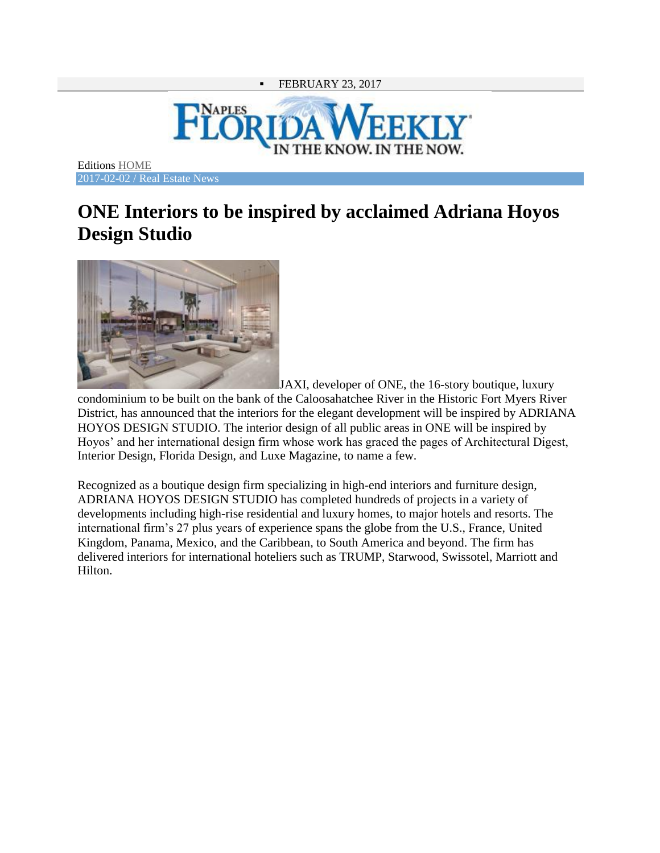## FEBRUARY 23, 2017



Editions [HOME](http://naples.floridaweekly.com/) 2017-02-02 / Real Estate News

## **ONE Interiors to be inspired by acclaimed Adriana Hoyos Design Studio**



JAXI, developer of ONE, the 16-story boutique, luxury condominium to be built on the bank of the Caloosahatchee River in the Historic Fort Myers River District, has announced that the interiors for the elegant development will be inspired by ADRIANA HOYOS DESIGN STUDIO. The interior design of all public areas in ONE will be inspired by Hoyos' and her international design firm whose work has graced the pages of Architectural Digest, Interior Design, Florida Design, and Luxe Magazine, to name a few.

Recognized as a boutique design firm specializing in high-end interiors and furniture design, ADRIANA HOYOS DESIGN STUDIO has completed hundreds of projects in a variety of developments including high-rise residential and luxury homes, to major hotels and resorts. The international firm's 27 plus years of experience spans the globe from the U.S., France, United Kingdom, Panama, Mexico, and the Caribbean, to South America and beyond. The firm has delivered interiors for international hoteliers such as TRUMP, Starwood, Swissotel, Marriott and Hilton.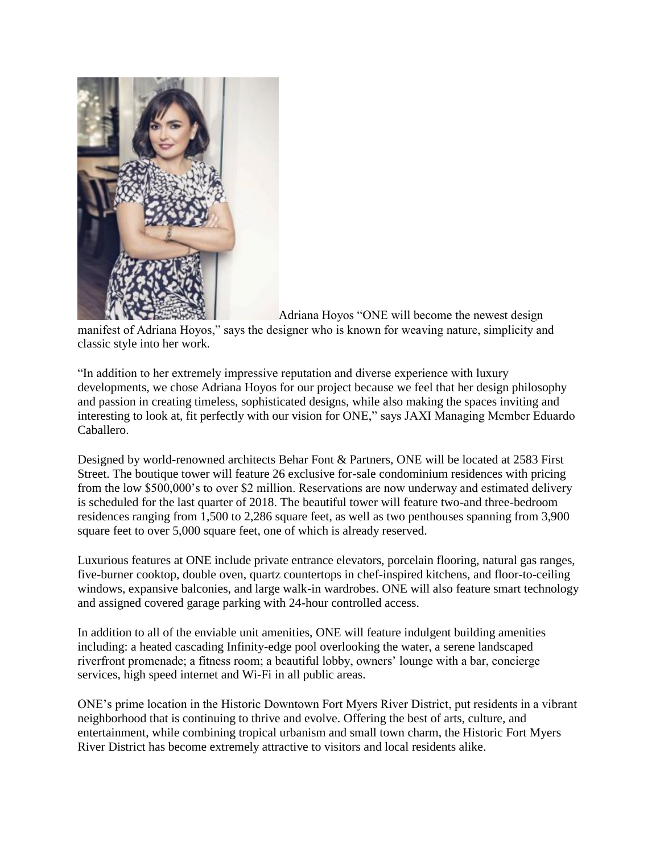

[A](http://naples.floridaweekly.com/sites/naples.floridaweekly.com/files/images/2017-02-02/77p2.jpg)driana Hoyos "ONE will become the newest design

manifest of Adriana Hoyos," says the designer who is known for weaving nature, simplicity and classic style into her work.

"In addition to her extremely impressive reputation and diverse experience with luxury developments, we chose Adriana Hoyos for our project because we feel that her design philosophy and passion in creating timeless, sophisticated designs, while also making the spaces inviting and interesting to look at, fit perfectly with our vision for ONE," says JAXI Managing Member Eduardo Caballero.

Designed by world-renowned architects Behar Font & Partners, ONE will be located at 2583 First Street. The boutique tower will feature 26 exclusive for-sale condominium residences with pricing from the low \$500,000's to over \$2 million. Reservations are now underway and estimated delivery is scheduled for the last quarter of 2018. The beautiful tower will feature two-and three-bedroom residences ranging from 1,500 to 2,286 square feet, as well as two penthouses spanning from 3,900 square feet to over 5,000 square feet, one of which is already reserved.

Luxurious features at ONE include private entrance elevators, porcelain flooring, natural gas ranges, five-burner cooktop, double oven, quartz countertops in chef-inspired kitchens, and floor-to-ceiling windows, expansive balconies, and large walk-in wardrobes. ONE will also feature smart technology and assigned covered garage parking with 24-hour controlled access.

In addition to all of the enviable unit amenities, ONE will feature indulgent building amenities including: a heated cascading Infinity-edge pool overlooking the water, a serene landscaped riverfront promenade; a fitness room; a beautiful lobby, owners' lounge with a bar, concierge services, high speed internet and Wi-Fi in all public areas.

ONE's prime location in the Historic Downtown Fort Myers River District, put residents in a vibrant neighborhood that is continuing to thrive and evolve. Offering the best of arts, culture, and entertainment, while combining tropical urbanism and small town charm, the Historic Fort Myers River District has become extremely attractive to visitors and local residents alike.